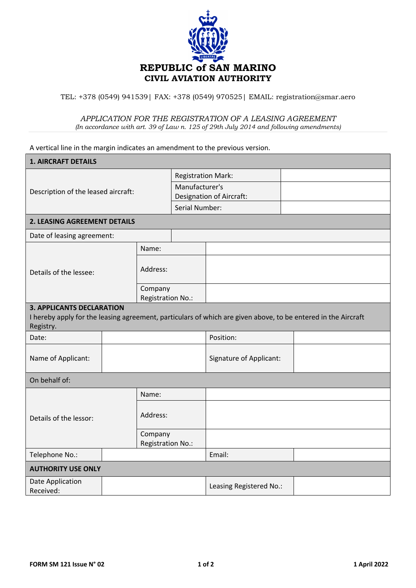

TEL: +378 (0549) 941539| FAX: +378 (0549) 970525| EMAIL: registration@smar.aero

## *APPLICATION FOR THE REGISTRATION OF A LEASING AGREEMENT (In accordance with art. 39 of Law n. 125 of 29th July 2014 and following amendments)*

A vertical line in the margin indicates an amendment to the previous version.

| <b>1. AIRCRAFT DETAILS</b>                                                                                                 |                   |                                 |                         |                                |  |
|----------------------------------------------------------------------------------------------------------------------------|-------------------|---------------------------------|-------------------------|--------------------------------|--|
| Description of the leased aircraft:                                                                                        |                   | <b>Registration Mark:</b>       |                         |                                |  |
|                                                                                                                            |                   | Manufacturer's                  |                         |                                |  |
|                                                                                                                            |                   | <b>Designation of Aircraft:</b> |                         |                                |  |
|                                                                                                                            |                   |                                 | Serial Number:          |                                |  |
| <b>2. LEASING AGREEMENT DETAILS</b>                                                                                        |                   |                                 |                         |                                |  |
| Date of leasing agreement:                                                                                                 |                   |                                 |                         |                                |  |
| Details of the lessee:                                                                                                     |                   | Name:                           |                         |                                |  |
|                                                                                                                            |                   | Address:                        |                         |                                |  |
|                                                                                                                            |                   | Company<br>Registration No.:    |                         |                                |  |
| <b>3. APPLICANTS DECLARATION</b>                                                                                           |                   |                                 |                         |                                |  |
| I hereby apply for the leasing agreement, particulars of which are given above, to be entered in the Aircraft<br>Registry. |                   |                                 |                         |                                |  |
| Date:                                                                                                                      |                   |                                 |                         | Position:                      |  |
| Name of Applicant:                                                                                                         |                   |                                 |                         | <b>Signature of Applicant:</b> |  |
| On behalf of:                                                                                                              |                   |                                 |                         |                                |  |
|                                                                                                                            |                   | Name:                           |                         |                                |  |
| Details of the lessor:                                                                                                     |                   | Address:                        |                         |                                |  |
|                                                                                                                            |                   | Company                         |                         |                                |  |
|                                                                                                                            | Registration No.: |                                 |                         |                                |  |
| Telephone No.:                                                                                                             |                   |                                 |                         | Email:                         |  |
| <b>AUTHORITY USE ONLY</b>                                                                                                  |                   |                                 |                         |                                |  |
| Date Application<br>Received:                                                                                              |                   |                                 | Leasing Registered No.: |                                |  |